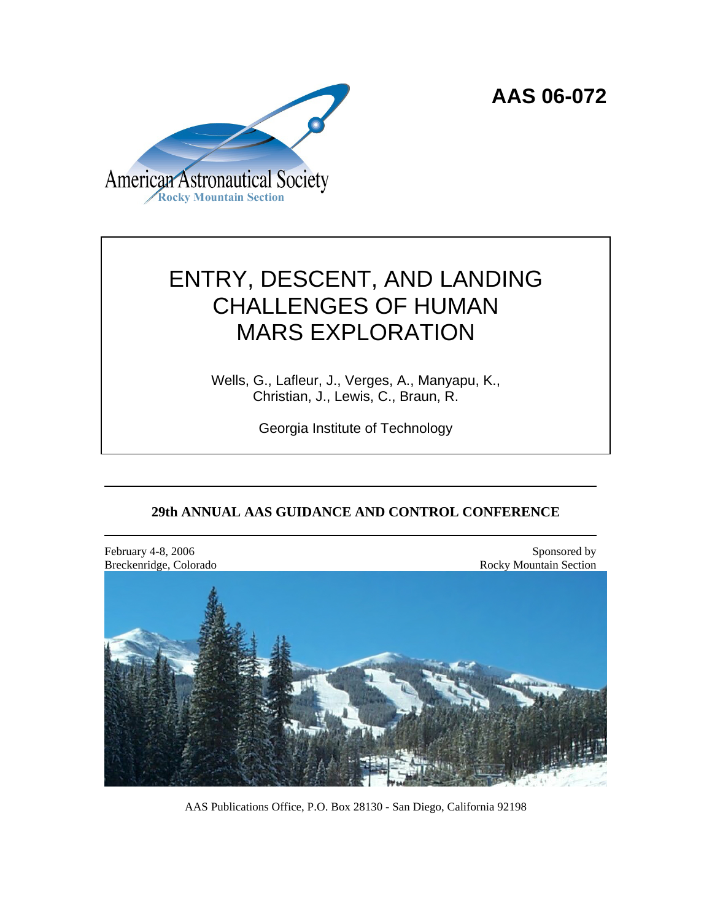**AAS 06-072**



# ENTRY, DESCENT, AND LANDING CHALLENGES OF HUMAN MARS EXPLORATION

Wells, G., Lafleur, J., Verges, A., Manyapu, K., Christian, J., Lewis, C., Braun, R.

Georgia Institute of Technology

# **29th ANNUAL AAS GUIDANCE AND CONTROL CONFERENCE**

February 4-8, 2006 Sponsored by Sponsored by Sponsored by Sponsored by Sponsored by Sponsored by Sponsored by Sponsored by Sponsored by Sponsored by Sponsored by Sponsored by Sponsored by Sponsored by Sponsored by Sponsore Breckenridge, Colorado **Rocky Mountain Section** Rocky Mountain Section

AAS Publications Office, P.O. Box 28130 - San Diego, California 92198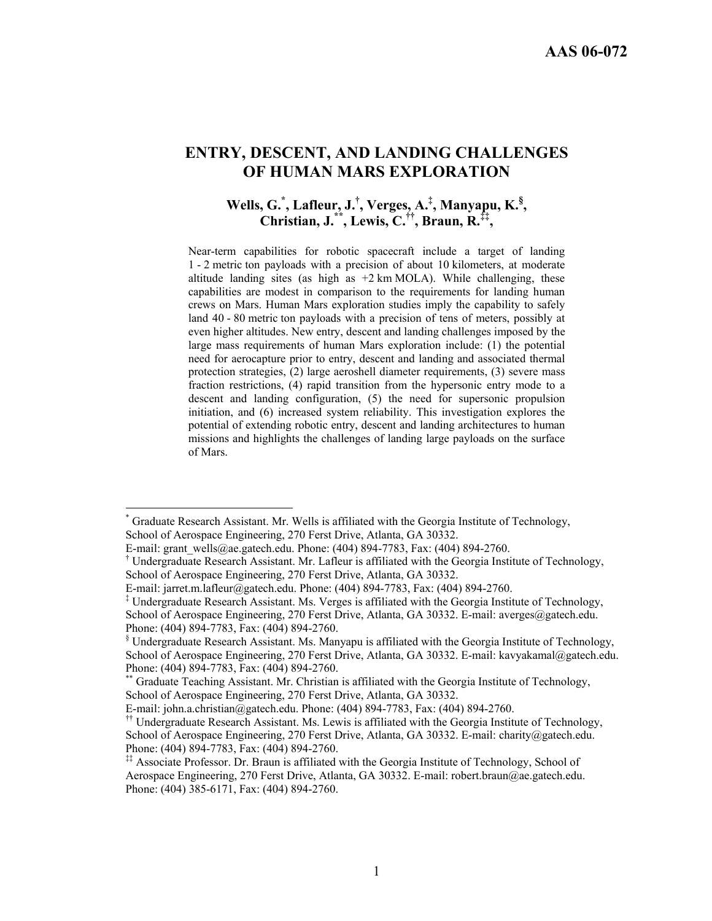# **ENTRY, DESCENT, AND LANDING CHALLENGES OF HUMAN MARS EXPLORATION**

# **Wells, G.\* , Lafleur, J.† , Verges, A.‡ , Manyapu, K.§ , Christian, J.\*\*, Lewis, C.††, Braun, R.‡‡,**

Near-term capabilities for robotic spacecraft include a target of landing 1 - 2 metric ton payloads with a precision of about 10 kilometers, at moderate altitude landing sites (as high as  $+2$  km MOLA). While challenging, these capabilities are modest in comparison to the requirements for landing human crews on Mars. Human Mars exploration studies imply the capability to safely land 40 - 80 metric ton payloads with a precision of tens of meters, possibly at even higher altitudes. New entry, descent and landing challenges imposed by the large mass requirements of human Mars exploration include: (1) the potential need for aerocapture prior to entry, descent and landing and associated thermal protection strategies, (2) large aeroshell diameter requirements, (3) severe mass fraction restrictions, (4) rapid transition from the hypersonic entry mode to a descent and landing configuration, (5) the need for supersonic propulsion initiation, and (6) increased system reliability. This investigation explores the potential of extending robotic entry, descent and landing architectures to human missions and highlights the challenges of landing large payloads on the surface of Mars.

 $\overline{a}$ 

<sup>\*</sup> Graduate Research Assistant. Mr. Wells is affiliated with the Georgia Institute of Technology, School of Aerospace Engineering, 270 Ferst Drive, Atlanta, GA 30332.

E-mail: grant\_wells@ae.gatech.edu. Phone: (404) 894-7783, Fax: (404) 894-2760.

<sup>†</sup> Undergraduate Research Assistant. Mr. Lafleur is affiliated with the Georgia Institute of Technology, School of Aerospace Engineering, 270 Ferst Drive, Atlanta, GA 30332.

E-mail: jarret.m.lafleur@gatech.edu. Phone: (404) 894-7783, Fax: (404) 894-2760.

<sup>‡</sup> Undergraduate Research Assistant. Ms. Verges is affiliated with the Georgia Institute of Technology, School of Aerospace Engineering, 270 Ferst Drive, Atlanta, GA 30332. E-mail: averges@gatech.edu. Phone: (404) 894-7783, Fax: (404) 894-2760.

<sup>§</sup> Undergraduate Research Assistant. Ms. Manyapu is affiliated with the Georgia Institute of Technology, School of Aerospace Engineering, 270 Ferst Drive, Atlanta, GA 30332. E-mail: kavyakamal@gatech.edu. Phone: (404) 894-7783, Fax: (404) 894-2760.

Graduate Teaching Assistant. Mr. Christian is affiliated with the Georgia Institute of Technology, School of Aerospace Engineering, 270 Ferst Drive, Atlanta, GA 30332.

E-mail: john.a.christian@gatech.edu. Phone: (404) 894-7783, Fax: (404) 894-2760.

<sup>††</sup> Undergraduate Research Assistant. Ms. Lewis is affiliated with the Georgia Institute of Technology, School of Aerospace Engineering, 270 Ferst Drive, Atlanta, GA 30332. E-mail: charity@gatech.edu. Phone: (404) 894-7783, Fax: (404) 894-2760.

<sup>‡‡</sup> Associate Professor. Dr. Braun is affiliated with the Georgia Institute of Technology, School of Aerospace Engineering, 270 Ferst Drive, Atlanta, GA 30332. E-mail: robert.braun@ae.gatech.edu. Phone: (404) 385-6171, Fax: (404) 894-2760.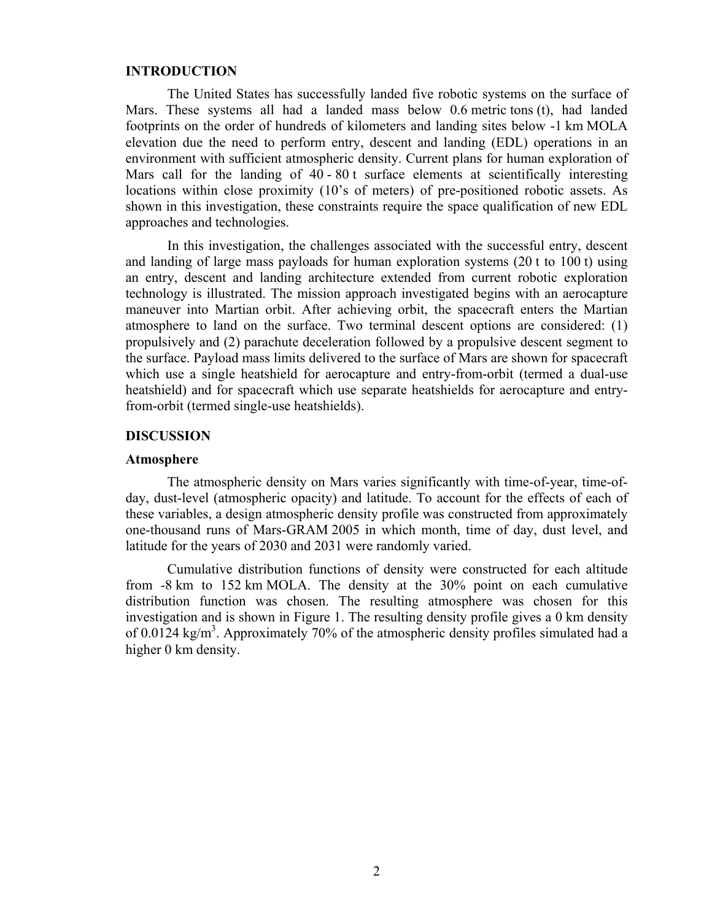# **INTRODUCTION**

The United States has successfully landed five robotic systems on the surface of Mars. These systems all had a landed mass below 0.6 metric tons (t), had landed footprints on the order of hundreds of kilometers and landing sites below -1 km MOLA elevation due the need to perform entry, descent and landing (EDL) operations in an environment with sufficient atmospheric density. Current plans for human exploration of Mars call for the landing of 40 - 80 t surface elements at scientifically interesting locations within close proximity (10's of meters) of pre-positioned robotic assets. As shown in this investigation, these constraints require the space qualification of new EDL approaches and technologies.

In this investigation, the challenges associated with the successful entry, descent and landing of large mass payloads for human exploration systems (20 t to 100 t) using an entry, descent and landing architecture extended from current robotic exploration technology is illustrated. The mission approach investigated begins with an aerocapture maneuver into Martian orbit. After achieving orbit, the spacecraft enters the Martian atmosphere to land on the surface. Two terminal descent options are considered: (1) propulsively and (2) parachute deceleration followed by a propulsive descent segment to the surface. Payload mass limits delivered to the surface of Mars are shown for spacecraft which use a single heatshield for aerocapture and entry-from-orbit (termed a dual-use heatshield) and for spacecraft which use separate heatshields for aerocapture and entryfrom-orbit (termed single-use heatshields).

#### **DISCUSSION**

#### **Atmosphere**

The atmospheric density on Mars varies significantly with time-of-year, time-ofday, dust-level (atmospheric opacity) and latitude. To account for the effects of each of these variables, a design atmospheric density profile was constructed from approximately one-thousand runs of Mars-GRAM 2005 in which month, time of day, dust level, and latitude for the years of 2030 and 2031 were randomly varied.

Cumulative distribution functions of density were constructed for each altitude from -8 km to 152 km MOLA. The density at the 30% point on each cumulative distribution function was chosen. The resulting atmosphere was chosen for this investigation and is shown in Figure 1. The resulting density profile gives a 0 km density of 0.0124 kg/m<sup>3</sup>. Approximately 70% of the atmospheric density profiles simulated had a higher 0 km density.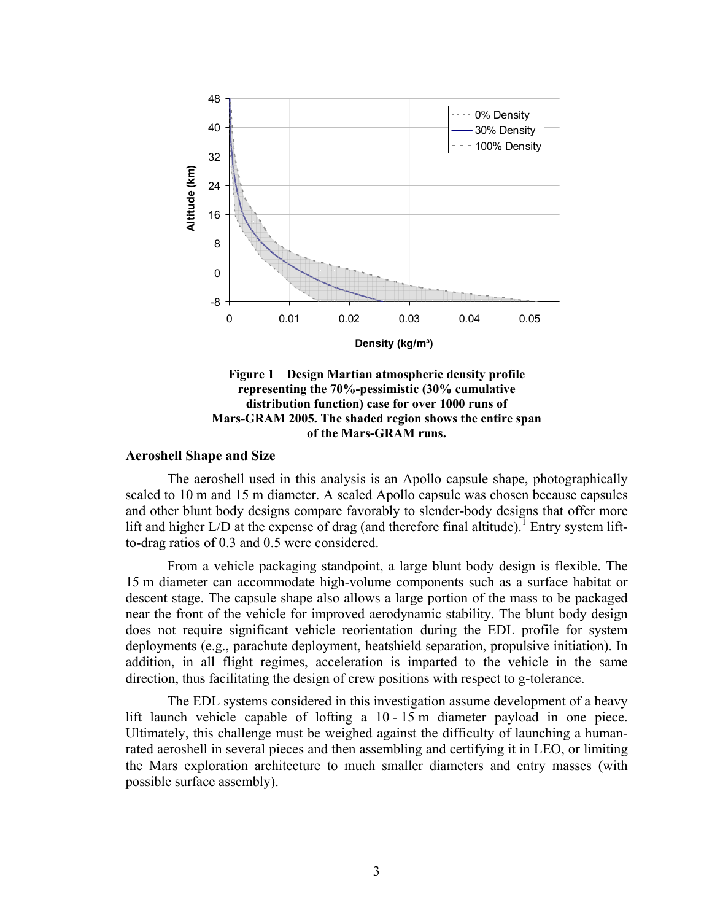

**Figure 1 Design Martian atmospheric density profile representing the 70%-pessimistic (30% cumulative distribution function) case for over 1000 runs of Mars-GRAM 2005. The shaded region shows the entire span of the Mars-GRAM runs.** 

## **Aeroshell Shape and Size**

The aeroshell used in this analysis is an Apollo capsule shape, photographically scaled to 10 m and 15 m diameter. A scaled Apollo capsule was chosen because capsules and other blunt body designs compare favorably to slender-body designs that offer more lift and higher  $L/D$  at the expense of drag (and therefore final altitude).<sup>1</sup> Entry system liftto-drag ratios of 0.3 and 0.5 were considered.

From a vehicle packaging standpoint, a large blunt body design is flexible. The 15 m diameter can accommodate high-volume components such as a surface habitat or descent stage. The capsule shape also allows a large portion of the mass to be packaged near the front of the vehicle for improved aerodynamic stability. The blunt body design does not require significant vehicle reorientation during the EDL profile for system deployments (e.g., parachute deployment, heatshield separation, propulsive initiation). In addition, in all flight regimes, acceleration is imparted to the vehicle in the same direction, thus facilitating the design of crew positions with respect to g-tolerance.

The EDL systems considered in this investigation assume development of a heavy lift launch vehicle capable of lofting a 10 - 15 m diameter payload in one piece. Ultimately, this challenge must be weighed against the difficulty of launching a humanrated aeroshell in several pieces and then assembling and certifying it in LEO, or limiting the Mars exploration architecture to much smaller diameters and entry masses (with possible surface assembly).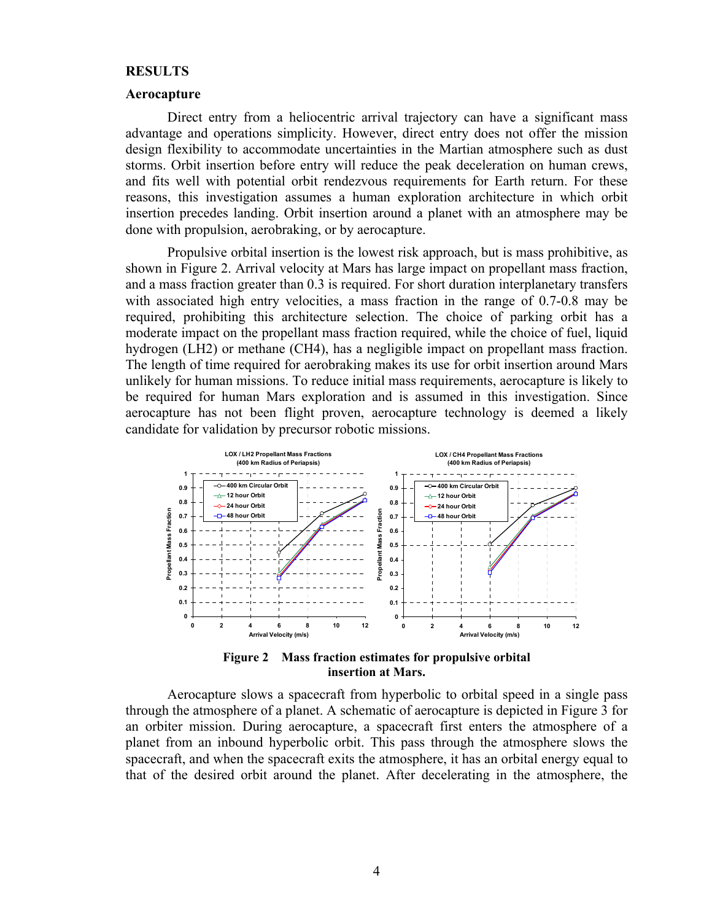#### **RESULTS**

#### **Aerocapture**

Direct entry from a heliocentric arrival trajectory can have a significant mass advantage and operations simplicity. However, direct entry does not offer the mission design flexibility to accommodate uncertainties in the Martian atmosphere such as dust storms. Orbit insertion before entry will reduce the peak deceleration on human crews, and fits well with potential orbit rendezvous requirements for Earth return. For these reasons, this investigation assumes a human exploration architecture in which orbit insertion precedes landing. Orbit insertion around a planet with an atmosphere may be done with propulsion, aerobraking, or by aerocapture.

Propulsive orbital insertion is the lowest risk approach, but is mass prohibitive, as shown in Figure 2. Arrival velocity at Mars has large impact on propellant mass fraction, and a mass fraction greater than 0.3 is required. For short duration interplanetary transfers with associated high entry velocities, a mass fraction in the range of 0.7-0.8 may be required, prohibiting this architecture selection. The choice of parking orbit has a moderate impact on the propellant mass fraction required, while the choice of fuel, liquid hydrogen (LH2) or methane (CH4), has a negligible impact on propellant mass fraction. The length of time required for aerobraking makes its use for orbit insertion around Mars unlikely for human missions. To reduce initial mass requirements, aerocapture is likely to be required for human Mars exploration and is assumed in this investigation. Since aerocapture has not been flight proven, aerocapture technology is deemed a likely candidate for validation by precursor robotic missions.



**Figure 2 Mass fraction estimates for propulsive orbital insertion at Mars.** 

Aerocapture slows a spacecraft from hyperbolic to orbital speed in a single pass through the atmosphere of a planet. A schematic of aerocapture is depicted in Figure 3 for an orbiter mission. During aerocapture, a spacecraft first enters the atmosphere of a planet from an inbound hyperbolic orbit. This pass through the atmosphere slows the spacecraft, and when the spacecraft exits the atmosphere, it has an orbital energy equal to that of the desired orbit around the planet. After decelerating in the atmosphere, the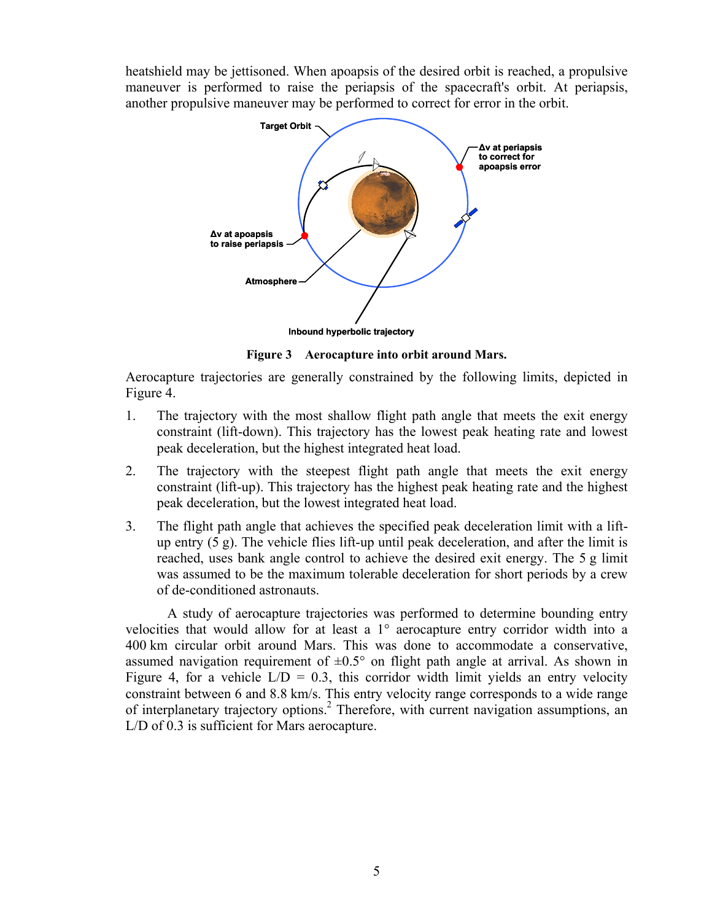heatshield may be jettisoned. When apoapsis of the desired orbit is reached, a propulsive maneuver is performed to raise the periapsis of the spacecraft's orbit. At periapsis, another propulsive maneuver may be performed to correct for error in the orbit.



**Figure 3 Aerocapture into orbit around Mars.** 

Aerocapture trajectories are generally constrained by the following limits, depicted in Figure 4.

- 1. The trajectory with the most shallow flight path angle that meets the exit energy constraint (lift-down). This trajectory has the lowest peak heating rate and lowest peak deceleration, but the highest integrated heat load.
- 2. The trajectory with the steepest flight path angle that meets the exit energy constraint (lift-up). This trajectory has the highest peak heating rate and the highest peak deceleration, but the lowest integrated heat load.
- 3. The flight path angle that achieves the specified peak deceleration limit with a liftup entry  $(5 \text{ g})$ . The vehicle flies lift-up until peak deceleration, and after the limit is reached, uses bank angle control to achieve the desired exit energy. The 5 g limit was assumed to be the maximum tolerable deceleration for short periods by a crew of de-conditioned astronauts.

A study of aerocapture trajectories was performed to determine bounding entry velocities that would allow for at least a 1° aerocapture entry corridor width into a 400 km circular orbit around Mars. This was done to accommodate a conservative, assumed navigation requirement of  $\pm 0.5^{\circ}$  on flight path angle at arrival. As shown in Figure 4, for a vehicle  $L/D = 0.3$ , this corridor width limit yields an entry velocity constraint between 6 and 8.8 km/s. This entry velocity range corresponds to a wide range of interplanetary trajectory options.<sup>2</sup> Therefore, with current navigation assumptions, an L/D of 0.3 is sufficient for Mars aerocapture.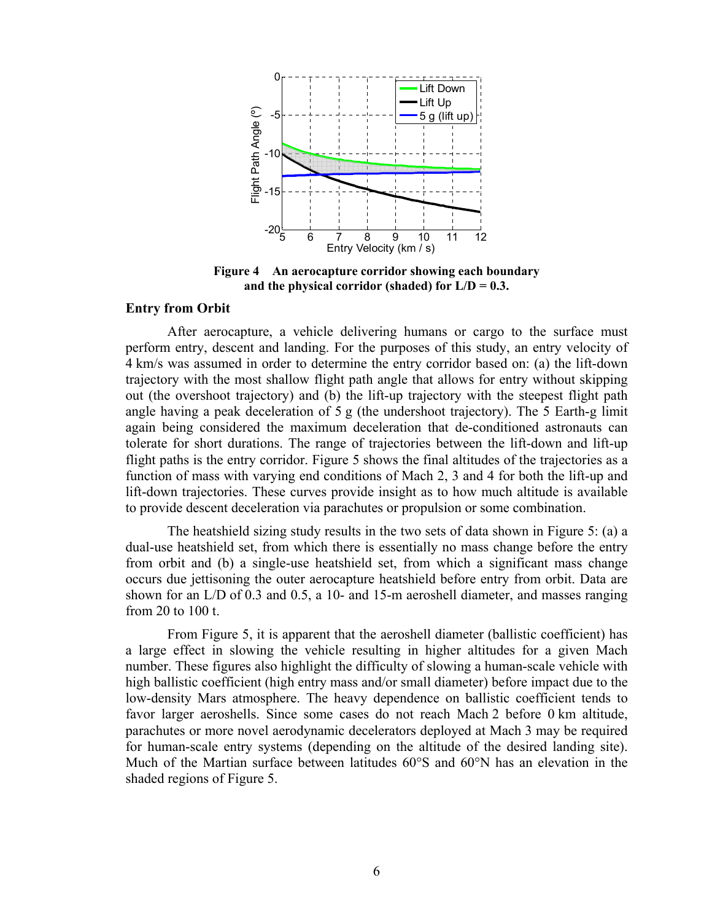

**Figure 4 An aerocapture corridor showing each boundary and the physical corridor (shaded) for L/D = 0.3.** 

#### **Entry from Orbit**

After aerocapture, a vehicle delivering humans or cargo to the surface must perform entry, descent and landing. For the purposes of this study, an entry velocity of 4 km/s was assumed in order to determine the entry corridor based on: (a) the lift-down trajectory with the most shallow flight path angle that allows for entry without skipping out (the overshoot trajectory) and (b) the lift-up trajectory with the steepest flight path angle having a peak deceleration of 5 g (the undershoot trajectory). The 5 Earth-g limit again being considered the maximum deceleration that de-conditioned astronauts can tolerate for short durations. The range of trajectories between the lift-down and lift-up flight paths is the entry corridor. Figure 5 shows the final altitudes of the trajectories as a function of mass with varying end conditions of Mach 2, 3 and 4 for both the lift-up and lift-down trajectories. These curves provide insight as to how much altitude is available to provide descent deceleration via parachutes or propulsion or some combination.

The heatshield sizing study results in the two sets of data shown in Figure 5: (a) a dual-use heatshield set, from which there is essentially no mass change before the entry from orbit and (b) a single-use heatshield set, from which a significant mass change occurs due jettisoning the outer aerocapture heatshield before entry from orbit. Data are shown for an L/D of 0.3 and 0.5, a 10- and 15-m aeroshell diameter, and masses ranging from 20 to 100 t.

From Figure 5, it is apparent that the aeroshell diameter (ballistic coefficient) has a large effect in slowing the vehicle resulting in higher altitudes for a given Mach number. These figures also highlight the difficulty of slowing a human-scale vehicle with high ballistic coefficient (high entry mass and/or small diameter) before impact due to the low-density Mars atmosphere. The heavy dependence on ballistic coefficient tends to favor larger aeroshells. Since some cases do not reach Mach 2 before 0 km altitude, parachutes or more novel aerodynamic decelerators deployed at Mach 3 may be required for human-scale entry systems (depending on the altitude of the desired landing site). Much of the Martian surface between latitudes 60°S and 60°N has an elevation in the shaded regions of Figure 5.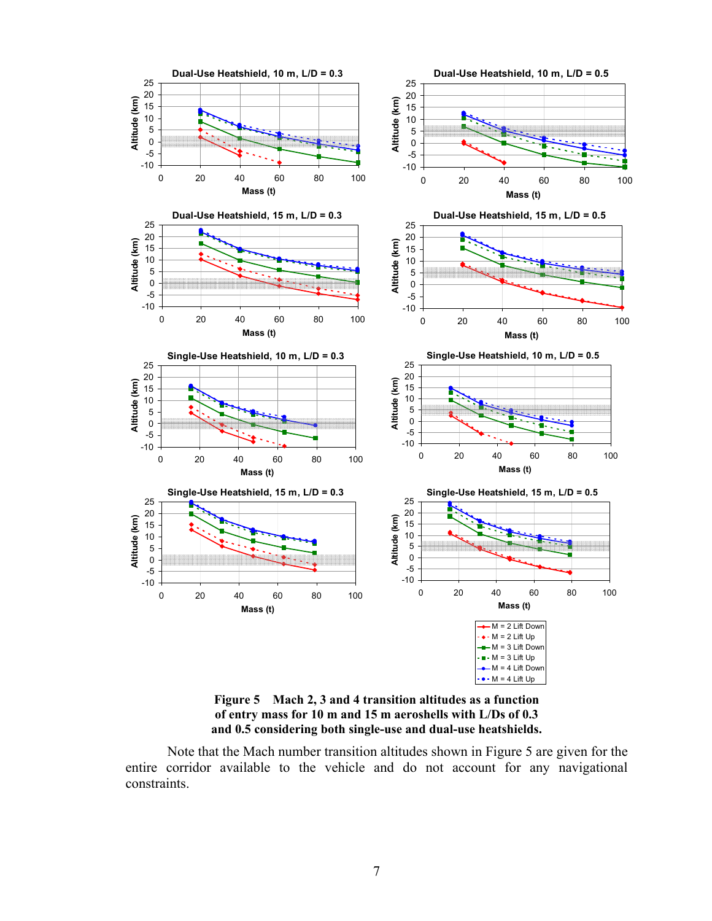

**Figure 5 Mach 2, 3 and 4 transition altitudes as a function of entry mass for 10 m and 15 m aeroshells with L/Ds of 0.3 and 0.5 considering both single-use and dual-use heatshields.** 

Note that the Mach number transition altitudes shown in Figure 5 are given for the entire corridor available to the vehicle and do not account for any navigational constraints.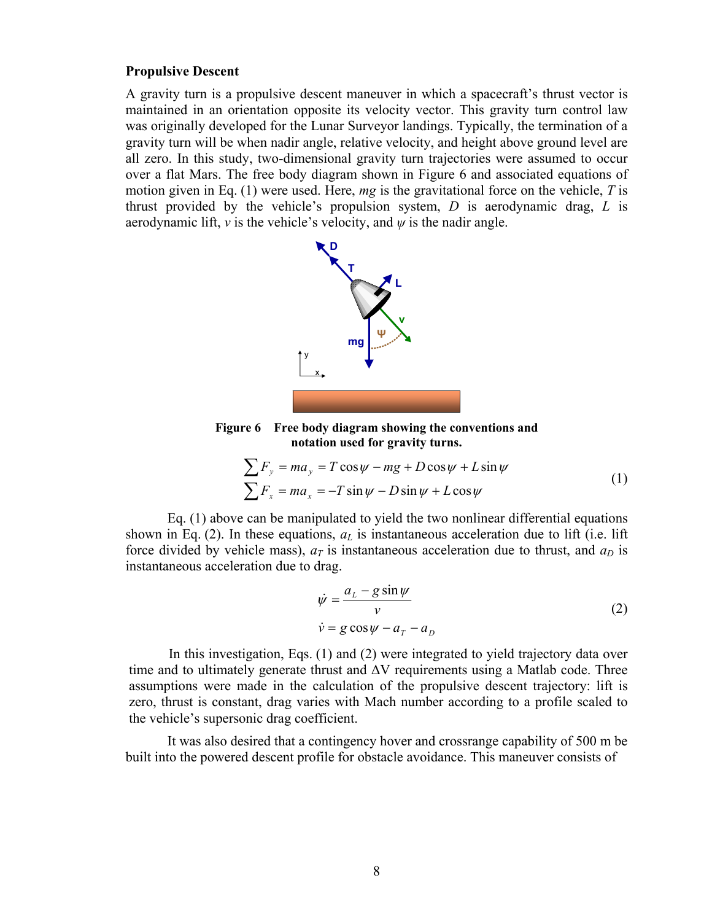#### **Propulsive Descent**

A gravity turn is a propulsive descent maneuver in which a spacecraft's thrust vector is maintained in an orientation opposite its velocity vector. This gravity turn control law was originally developed for the Lunar Surveyor landings. Typically, the termination of a gravity turn will be when nadir angle, relative velocity, and height above ground level are all zero. In this study, two-dimensional gravity turn trajectories were assumed to occur over a flat Mars. The free body diagram shown in Figure 6 and associated equations of motion given in Eq. (1) were used. Here, *mg* is the gravitational force on the vehicle, *T* is thrust provided by the vehicle's propulsion system, *D* is aerodynamic drag, *L* is aerodynamic lift, *v* is the vehicle's velocity, and  $\psi$  is the nadir angle.



**Figure 6 Free body diagram showing the conventions and notation used for gravity turns.** 

$$
\sum F_y = ma_y = T\cos\psi - mg + D\cos\psi + L\sin\psi
$$
  

$$
\sum F_x = ma_x = -T\sin\psi - D\sin\psi + L\cos\psi
$$
 (1)

Eq. (1) above can be manipulated to yield the two nonlinear differential equations shown in Eq. (2). In these equations,  $a<sub>L</sub>$  is instantaneous acceleration due to lift (i.e. lift force divided by vehicle mass),  $a_T$  is instantaneous acceleration due to thrust, and  $a_D$  is instantaneous acceleration due to drag.

$$
\dot{\psi} = \frac{a_L - g \sin \psi}{v}
$$
  
\n
$$
\dot{v} = g \cos \psi - a_T - a_D
$$
\n(2)

In this investigation, Eqs. (1) and (2) were integrated to yield trajectory data over time and to ultimately generate thrust and ∆V requirements using a Matlab code. Three assumptions were made in the calculation of the propulsive descent trajectory: lift is zero, thrust is constant, drag varies with Mach number according to a profile scaled to the vehicle's supersonic drag coefficient.

It was also desired that a contingency hover and crossrange capability of 500 m be built into the powered descent profile for obstacle avoidance. This maneuver consists of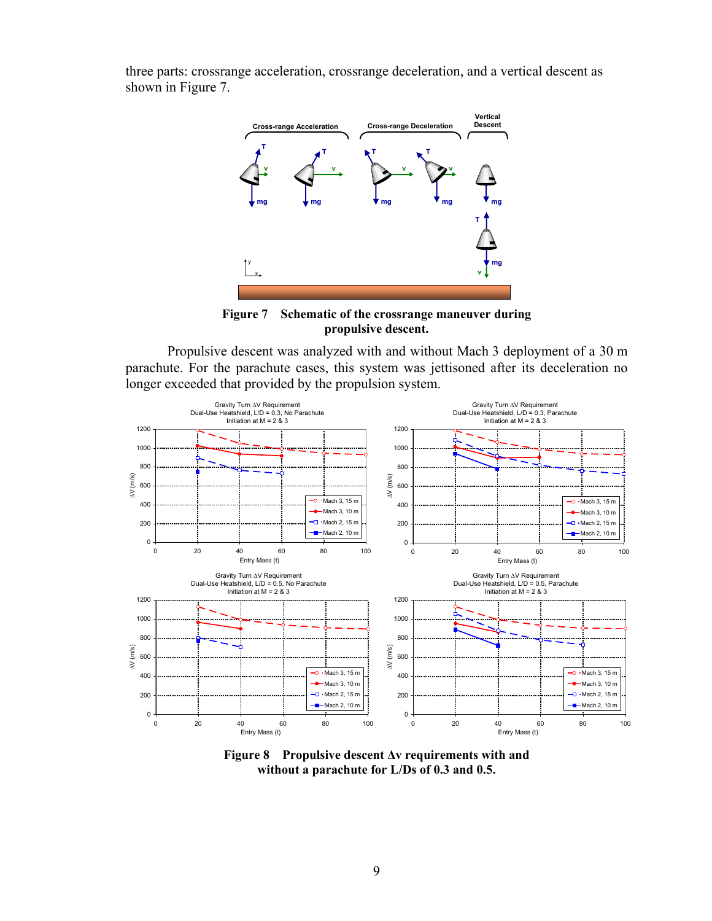



**Figure 7 Schematic of the crossrange maneuver during propulsive descent.** 

Propulsive descent was analyzed with and without Mach 3 deployment of a 30 m parachute. For the parachute cases, this system was jettisoned after its deceleration no longer exceeded that provided by the propulsion system.



**Figure 8 Propulsive descent ∆v requirements with and without a parachute for L/Ds of 0.3 and 0.5.**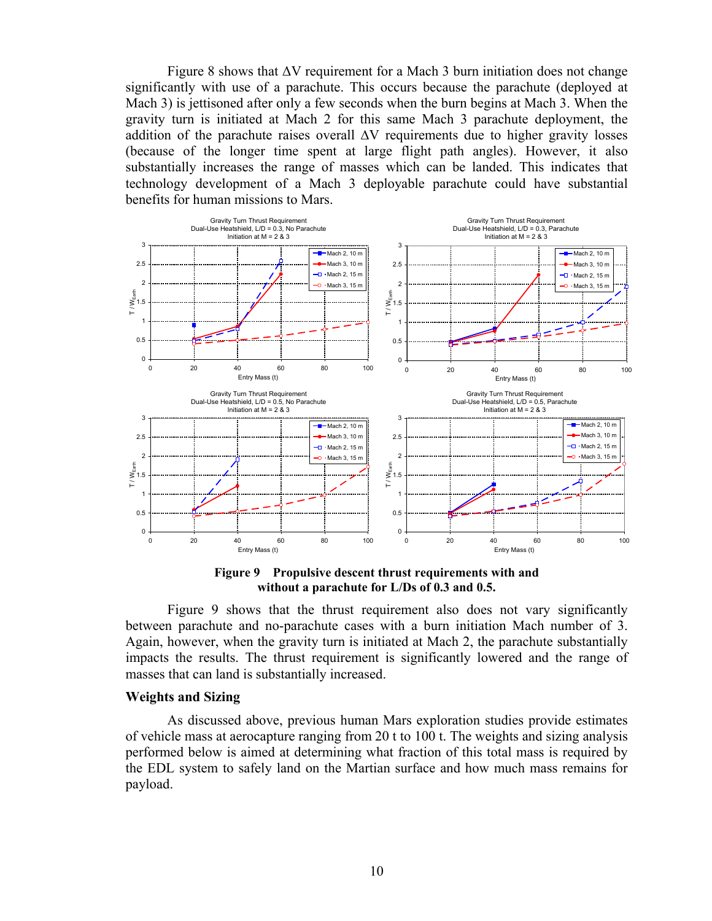Figure 8 shows that ∆V requirement for a Mach 3 burn initiation does not change significantly with use of a parachute. This occurs because the parachute (deployed at Mach 3) is jettisoned after only a few seconds when the burn begins at Mach 3. When the gravity turn is initiated at Mach 2 for this same Mach 3 parachute deployment, the addition of the parachute raises overall ∆V requirements due to higher gravity losses (because of the longer time spent at large flight path angles). However, it also substantially increases the range of masses which can be landed. This indicates that technology development of a Mach 3 deployable parachute could have substantial benefits for human missions to Mars.



**Figure 9 Propulsive descent thrust requirements with and without a parachute for L/Ds of 0.3 and 0.5.** 

Figure 9 shows that the thrust requirement also does not vary significantly between parachute and no-parachute cases with a burn initiation Mach number of 3. Again, however, when the gravity turn is initiated at Mach 2, the parachute substantially impacts the results. The thrust requirement is significantly lowered and the range of masses that can land is substantially increased.

## **Weights and Sizing**

As discussed above, previous human Mars exploration studies provide estimates of vehicle mass at aerocapture ranging from 20 t to 100 t. The weights and sizing analysis performed below is aimed at determining what fraction of this total mass is required by the EDL system to safely land on the Martian surface and how much mass remains for payload.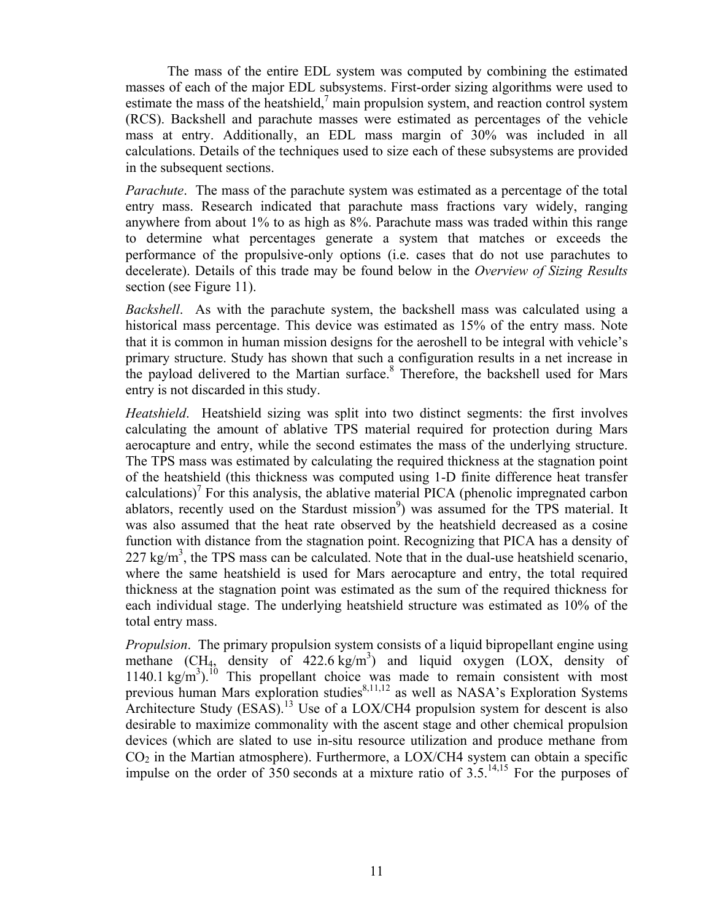The mass of the entire EDL system was computed by combining the estimated masses of each of the major EDL subsystems. First-order sizing algorithms were used to estimate the mass of the heatshield, $<sup>7</sup>$  main propulsion system, and reaction control system</sup> (RCS). Backshell and parachute masses were estimated as percentages of the vehicle mass at entry. Additionally, an EDL mass margin of 30% was included in all calculations. Details of the techniques used to size each of these subsystems are provided in the subsequent sections.

*Parachute*. The mass of the parachute system was estimated as a percentage of the total entry mass. Research indicated that parachute mass fractions vary widely, ranging anywhere from about 1% to as high as 8%. Parachute mass was traded within this range to determine what percentages generate a system that matches or exceeds the performance of the propulsive-only options (i.e. cases that do not use parachutes to decelerate). Details of this trade may be found below in the *Overview of Sizing Results* section (see Figure 11).

*Backshell*. As with the parachute system, the backshell mass was calculated using a historical mass percentage. This device was estimated as 15% of the entry mass. Note that it is common in human mission designs for the aeroshell to be integral with vehicle's primary structure. Study has shown that such a configuration results in a net increase in the payload delivered to the Martian surface.<sup>8</sup> Therefore, the backshell used for Mars entry is not discarded in this study.

*Heatshield*. Heatshield sizing was split into two distinct segments: the first involves calculating the amount of ablative TPS material required for protection during Mars aerocapture and entry, while the second estimates the mass of the underlying structure. The TPS mass was estimated by calculating the required thickness at the stagnation point of the heatshield (this thickness was computed using 1-D finite difference heat transfer calculations)<sup>7</sup> For this analysis, the ablative material PICA (phenolic impregnated carbon ablators, recently used on the Stardust mission<sup>9</sup>) was assumed for the TPS material. It was also assumed that the heat rate observed by the heatshield decreased as a cosine function with distance from the stagnation point. Recognizing that PICA has a density of  $227 \text{ kg/m}^3$ , the TPS mass can be calculated. Note that in the dual-use heatshield scenario, where the same heatshield is used for Mars aerocapture and entry, the total required thickness at the stagnation point was estimated as the sum of the required thickness for each individual stage. The underlying heatshield structure was estimated as 10% of the total entry mass.

*Propulsion*. The primary propulsion system consists of a liquid bipropellant engine using methane  $(CH_4$ , density of  $422.6 \text{ kg/m}^3$ ) and liquid oxygen  $(LOX,$  density of  $1140.1 \text{ kg/m}^3$ .<sup>10</sup> This propellant choice was made to remain consistent with most previous human Mars exploration studies $8,11,12$  as well as NASA's Exploration Systems Architecture Study (ESAS).<sup>13</sup> Use of a LOX/CH4 propulsion system for descent is also desirable to maximize commonality with the ascent stage and other chemical propulsion devices (which are slated to use in-situ resource utilization and produce methane from  $CO<sub>2</sub>$  in the Martian atmosphere). Furthermore, a LOX/CH4 system can obtain a specific impulse on the order of 350 seconds at a mixture ratio of  $3.5^{14,15}$  For the purposes of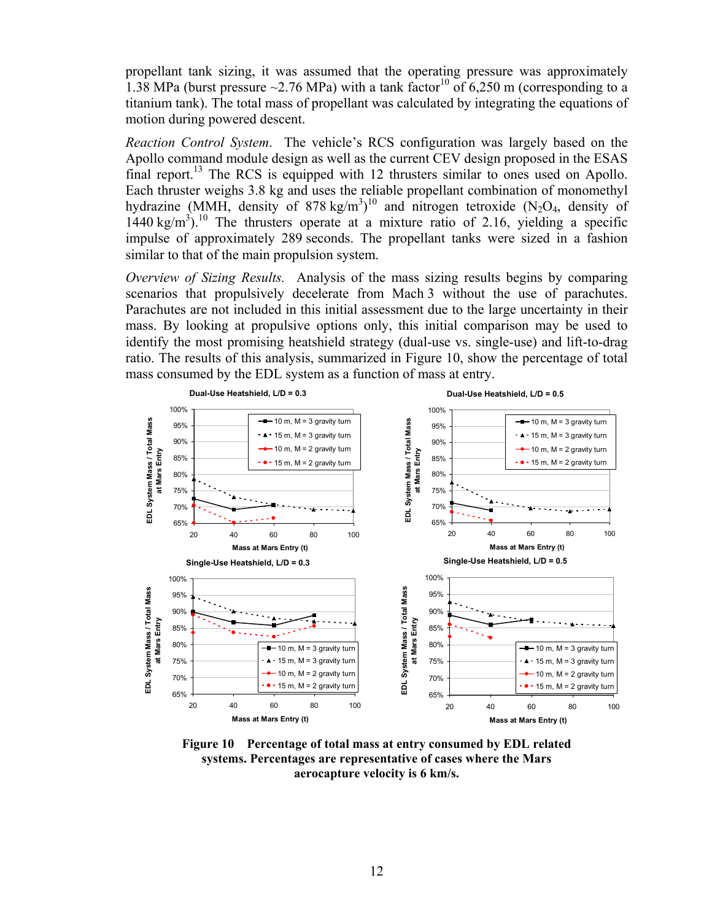propellant tank sizing, it was assumed that the operating pressure was approximately 1.38 MPa (burst pressure  $\sim$ 2.76 MPa) with a tank factor<sup>10</sup> of 6,250 m (corresponding to a titanium tank). The total mass of propellant was calculated by integrating the equations of motion during powered descent.

*Reaction Control System*. The vehicle's RCS configuration was largely based on the Apollo command module design as well as the current CEV design proposed in the ESAS final report.<sup>13</sup> The RCS is equipped with 12 thrusters similar to ones used on Apollo. Each thruster weighs 3.8 kg and uses the reliable propellant combination of monomethyl hydrazine (MMH, density of 878 kg/m<sup>3</sup>)<sup>10</sup> and nitrogen tetroxide (N<sub>2</sub>O<sub>4</sub>, density of  $1440 \text{ kg/m}^3$ ).<sup>10</sup> The thrusters operate at a mixture ratio of 2.16, yielding a specific impulse of approximately 289 seconds. The propellant tanks were sized in a fashion similar to that of the main propulsion system.

*Overview of Sizing Results.* Analysis of the mass sizing results begins by comparing scenarios that propulsively decelerate from Mach 3 without the use of parachutes. Parachutes are not included in this initial assessment due to the large uncertainty in their mass. By looking at propulsive options only, this initial comparison may be used to identify the most promising heatshield strategy (dual-use vs. single-use) and lift-to-drag ratio. The results of this analysis, summarized in Figure 10, show the percentage of total mass consumed by the EDL system as a function of mass at entry.



**Figure 10 Percentage of total mass at entry consumed by EDL related systems. Percentages are representative of cases where the Mars aerocapture velocity is 6 km/s.**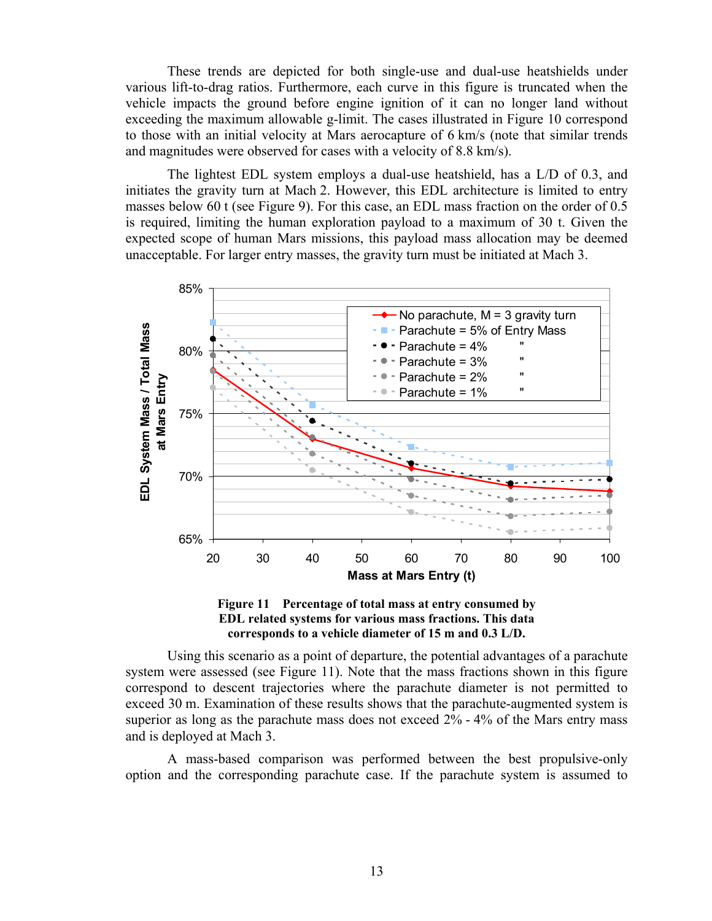These trends are depicted for both single-use and dual-use heatshields under various lift-to-drag ratios. Furthermore, each curve in this figure is truncated when the vehicle impacts the ground before engine ignition of it can no longer land without exceeding the maximum allowable g-limit. The cases illustrated in Figure 10 correspond to those with an initial velocity at Mars aerocapture of 6 km/s (note that similar trends and magnitudes were observed for cases with a velocity of 8.8 km/s).

The lightest EDL system employs a dual-use heatshield, has a L/D of 0.3, and initiates the gravity turn at Mach 2. However, this EDL architecture is limited to entry masses below 60 t (see Figure 9). For this case, an EDL mass fraction on the order of 0.5 is required, limiting the human exploration payload to a maximum of 30 t. Given the expected scope of human Mars missions, this payload mass allocation may be deemed unacceptable. For larger entry masses, the gravity turn must be initiated at Mach 3.





Using this scenario as a point of departure, the potential advantages of a parachute system were assessed (see Figure 11). Note that the mass fractions shown in this figure correspond to descent trajectories where the parachute diameter is not permitted to exceed 30 m. Examination of these results shows that the parachute-augmented system is superior as long as the parachute mass does not exceed 2% - 4% of the Mars entry mass and is deployed at Mach 3.

A mass-based comparison was performed between the best propulsive-only option and the corresponding parachute case. If the parachute system is assumed to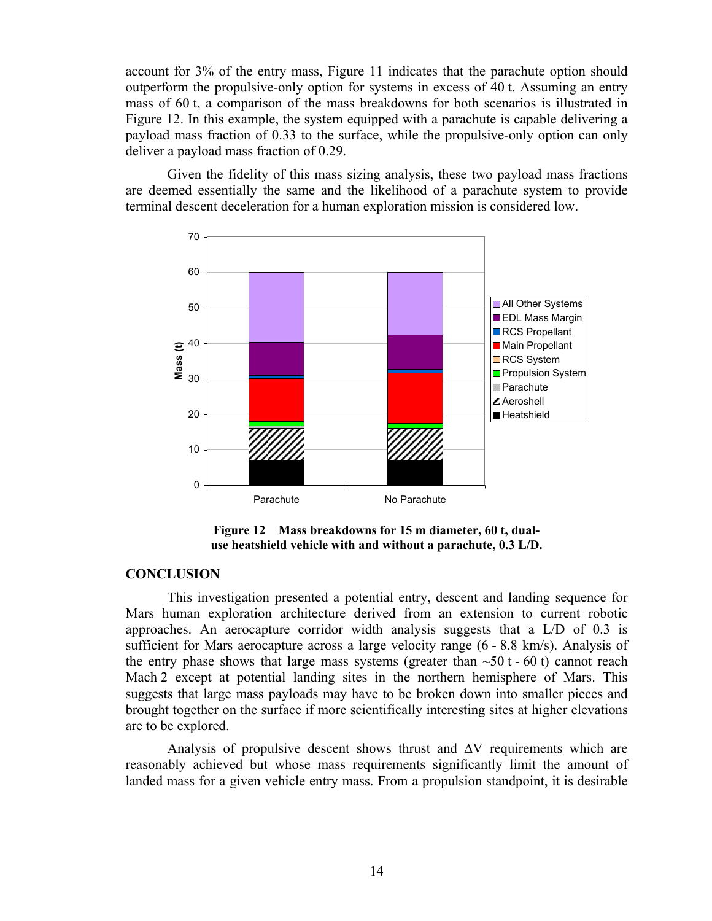account for 3% of the entry mass, Figure 11 indicates that the parachute option should outperform the propulsive-only option for systems in excess of 40 t. Assuming an entry mass of 60 t, a comparison of the mass breakdowns for both scenarios is illustrated in Figure 12. In this example, the system equipped with a parachute is capable delivering a payload mass fraction of 0.33 to the surface, while the propulsive-only option can only deliver a payload mass fraction of 0.29.

Given the fidelity of this mass sizing analysis, these two payload mass fractions are deemed essentially the same and the likelihood of a parachute system to provide terminal descent deceleration for a human exploration mission is considered low.



**Figure 12 Mass breakdowns for 15 m diameter, 60 t, dualuse heatshield vehicle with and without a parachute, 0.3 L/D.** 

## **CONCLUSION**

This investigation presented a potential entry, descent and landing sequence for Mars human exploration architecture derived from an extension to current robotic approaches. An aerocapture corridor width analysis suggests that a L/D of 0.3 is sufficient for Mars aerocapture across a large velocity range (6 - 8.8 km/s). Analysis of the entry phase shows that large mass systems (greater than  $\sim 50$  t - 60 t) cannot reach Mach 2 except at potential landing sites in the northern hemisphere of Mars. This suggests that large mass payloads may have to be broken down into smaller pieces and brought together on the surface if more scientifically interesting sites at higher elevations are to be explored.

Analysis of propulsive descent shows thrust and ∆V requirements which are reasonably achieved but whose mass requirements significantly limit the amount of landed mass for a given vehicle entry mass. From a propulsion standpoint, it is desirable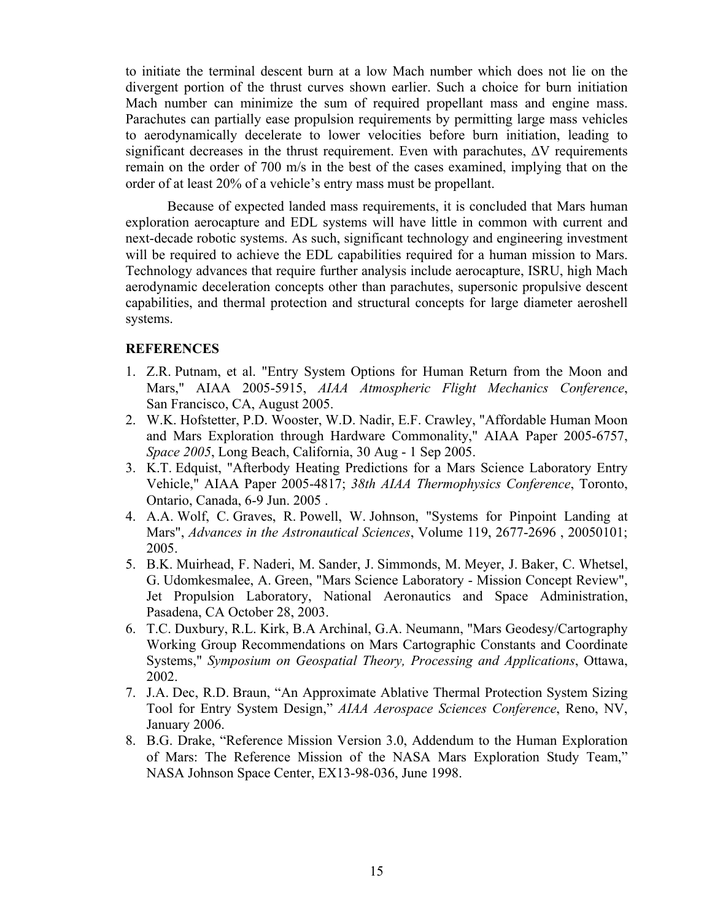to initiate the terminal descent burn at a low Mach number which does not lie on the divergent portion of the thrust curves shown earlier. Such a choice for burn initiation Mach number can minimize the sum of required propellant mass and engine mass. Parachutes can partially ease propulsion requirements by permitting large mass vehicles to aerodynamically decelerate to lower velocities before burn initiation, leading to significant decreases in the thrust requirement. Even with parachutes, ∆V requirements remain on the order of 700 m/s in the best of the cases examined, implying that on the order of at least 20% of a vehicle's entry mass must be propellant.

Because of expected landed mass requirements, it is concluded that Mars human exploration aerocapture and EDL systems will have little in common with current and next-decade robotic systems. As such, significant technology and engineering investment will be required to achieve the EDL capabilities required for a human mission to Mars. Technology advances that require further analysis include aerocapture, ISRU, high Mach aerodynamic deceleration concepts other than parachutes, supersonic propulsive descent capabilities, and thermal protection and structural concepts for large diameter aeroshell systems.

## **REFERENCES**

- 1. Z.R. Putnam, et al. "Entry System Options for Human Return from the Moon and Mars," AIAA 2005-5915, *AIAA Atmospheric Flight Mechanics Conference*, San Francisco, CA, August 2005.
- 2. W.K. Hofstetter, P.D. Wooster, W.D. Nadir, E.F. Crawley, "Affordable Human Moon and Mars Exploration through Hardware Commonality," AIAA Paper 2005-6757, *Space 2005*, Long Beach, California, 30 Aug - 1 Sep 2005.
- 3. K.T. Edquist, "Afterbody Heating Predictions for a Mars Science Laboratory Entry Vehicle," AIAA Paper 2005-4817; *38th AIAA Thermophysics Conference*, Toronto, Ontario, Canada, 6-9 Jun. 2005 .
- 4. A.A. Wolf, C. Graves, R. Powell, W. Johnson, "Systems for Pinpoint Landing at Mars", *Advances in the Astronautical Sciences*, Volume 119, 2677-2696 , 20050101; 2005.
- 5. B.K. Muirhead, F. Naderi, M. Sander, J. Simmonds, M. Meyer, J. Baker, C. Whetsel, G. Udomkesmalee, A. Green, "Mars Science Laboratory - Mission Concept Review", Jet Propulsion Laboratory, National Aeronautics and Space Administration, Pasadena, CA October 28, 2003.
- 6. T.C. Duxbury, R.L. Kirk, B.A Archinal, G.A. Neumann, "Mars Geodesy/Cartography Working Group Recommendations on Mars Cartographic Constants and Coordinate Systems," *Symposium on Geospatial Theory, Processing and Applications*, Ottawa, 2002.
- 7. J.A. Dec, R.D. Braun, "An Approximate Ablative Thermal Protection System Sizing Tool for Entry System Design," *AIAA Aerospace Sciences Conference*, Reno, NV, January 2006.
- 8. B.G. Drake, "Reference Mission Version 3.0, Addendum to the Human Exploration of Mars: The Reference Mission of the NASA Mars Exploration Study Team," NASA Johnson Space Center, EX13-98-036, June 1998.